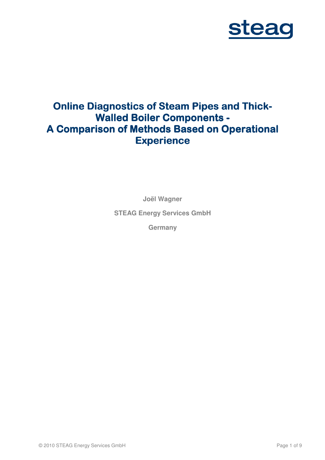

# **Online Diagnostics of Steam Pipes and Thick-Walled Boiler Components - Boiler Components - A Comparison of Methods Based on Operational Experience**

**Joël Wagner** 

**STEAG Energy Services GmbH** 

**Germany**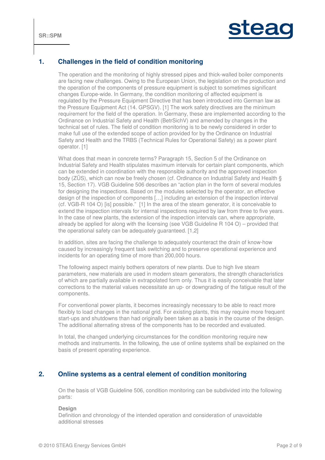

# **1. Challenges in the field of condition monitoring**

The operation and the monitoring of highly stressed pipes and thick-walled boiler components are facing new challenges. Owing to the European Union, the legislation on the production and the operation of the components of pressure equipment is subject to sometimes significant changes Europe-wide. In Germany, the condition monitoring of affected equipment is regulated by the Pressure Equipment Directive that has been introduced into German law as the Pressure Equipment Act (14. GPSGV). [1] The work safety directives are the minimum requirement for the field of the operation. In Germany, these are implemented according to the Ordinance on Industrial Safety and Health (BetrSichV) and amended by changes in the technical set of rules. The field of condition monitoring is to be newly considered in order to make full use of the extended scope of action provided for by the Ordinance on Industrial Safety and Health and the TRBS (Technical Rules for Operational Safety) as a power plant operator. [1]

What does that mean in concrete terms? Paragraph 15, Section 5 of the Ordinance on Industrial Safety and Health stipulates maximum intervals for certain plant components, which can be extended in coordination with the responsible authority and the approved inspection body (ZÜS), which can now be freely chosen (cf. Ordinance on Industrial Safety and Health § 15, Section 17). VGB Guideline 506 describes an "action plan in the form of several modules for designing the inspections. Based on the modules selected by the operator, an effective design of the inspection of components […] including an extension of the inspection interval (cf. VGB-R 104 O) [is] possible." [1] In the area of the steam generator, it is conceivable to extend the inspection intervals for internal inspections required by law from three to five years. In the case of new plants, the extension of the inspection intervals can, where appropriate, already be applied for along with the licensing (see VGB Guideline R 104 O) – provided that the operational safety can be adequately guaranteed. [1,2]

In addition, sites are facing the challenge to adequately counteract the drain of know-how caused by increasingly frequent task switching and to preserve operational experience and incidents for an operating time of more than 200,000 hours.

The following aspect mainly bothers operators of new plants. Due to high live steam parameters, new materials are used in modern steam generators, the strength characteristics of which are partially available in extrapolated form only. Thus it is easily conceivable that later corrections to the material values necessitate an up- or downgrading of the fatigue result of the components.

For conventional power plants, it becomes increasingly necessary to be able to react more flexibly to load changes in the national grid. For existing plants, this may require more frequent start-ups and shutdowns than had originally been taken as a basis in the course of the design. The additional alternating stress of the components has to be recorded and evaluated.

In total, the changed underlying circumstances for the condition monitoring require new methods and instruments. In the following, the use of online systems shall be explained on the basis of present operating experience.

## **2. Online systems as a central element of condition monitoring**

On the basis of VGB Guideline 506, condition monitoring can be subdivided into the following parts:

**Design** 

Definition and chronology of the intended operation and consideration of unavoidable additional stresses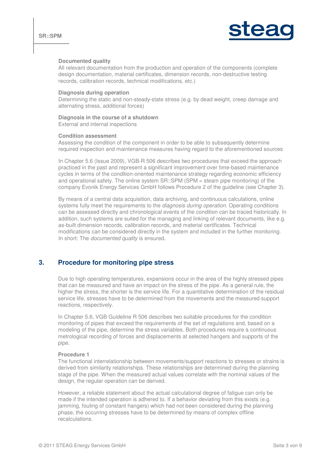

#### **Documented quality**

All relevant documentation from the production and operation of the components (complete design documentation, material certificates, dimension records, non-destructive testing records, calibration records, technical modifications, etc.)

#### **Diagnosis during operation**

Determining the static and non-steady-state stress (e.g. by dead weight, creep damage and alternating stress, additional forces)

#### **Diagnosis in the course of a shutdown**

External and internal inspections

#### **Condition assessment**

Assessing the condition of the component in order to be able to subsequently determine required inspection and maintenance measures having regard to the aforementioned sources

In Chapter 5.6 (Issue 2009), VGB-R 506 describes two procedures that exceed the approach practiced in the past and represent a significant improvement over time-based maintenance cycles in terms of the condition-oriented maintenance strategy regarding economic efficiency and operational safety. The online system SR::SPM (SPM = steam pipe monitoring) of the company Evonik Energy Services GmbH follows Procedure 2 of the guideline (see Chapter 3).

By means of a central data acquisition, data archiving, and continuous calculations, online systems fully meet the requirements to the *diagnosis during operation*. Operating conditions can be assessed directly and chronological events of the condition can be traced historically. In addition, such systems are suited for the managing and linking of relevant documents, like e.g. as-built dimension records, calibration records, and material certificates. Technical modifications can be considered directly in the system and included in the further monitoring. In short: The *documented quality* is ensured.

## **3. Procedure for monitoring pipe stress**

Due to high operating temperatures, expansions occur in the area of the highly stressed pipes that can be measured and have an impact on the stress of the pipe. As a general rule, the higher the stress, the shorter is the service life. For a quantitative determination of the residual service life, stresses have to be determined from the movements and the measured support reactions, respectively.

In Chapter 5.6, VGB Guideline R 506 describes two suitable procedures for the condition monitoring of pipes that exceed the requirements of the set of regulations and, based on a modeling of the pipe, determine the stress variables. Both procedures require a continuous metrological recording of forces and displacements at selected hangers and supports of the pipe.

#### **Procedure 1**

The functional interrelationship between movements/support reactions to stresses or strains is derived from similarity relationships. These relationships are determined during the planning stage of the pipe. When the measured actual values correlate with the nominal values of the design, the regular operation can be derived.

However, a reliable statement about the actual calculational degree of fatigue can only be made if the intended operation is adhered to. If a behavior deviating from this exists (e.g. jamming, fouling of constant hangers) which had not been considered during the planning phase, the occurring stresses have to be determined by means of complex offline recalculations.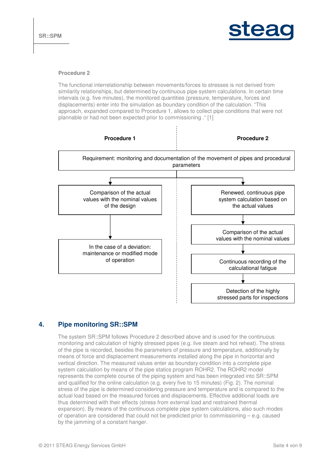

#### **Procedure 2**

The functional interrelationship between movements/forces to stresses is not derived from similarity relationships, but determined by continuous pipe system calculations. In certain time intervals (e.g. five minutes), the monitored quantities (pressure, temperature, forces and displacements) enter into the simulation as boundary condition of the calculation. "This approach, expanded compared to Procedure 1, allows to collect pipe conditions that were not plannable or had not been expected prior to commissioning ." [1]



# **4. Pipe monitoring SR::SPM**

The system SR::SPM follows Procedure 2 described above and is used for the continuous monitoring and calculation of highly stressed pipes (e.g. live steam and hot reheat). The stress of the pipe is recorded, besides the parameters of pressure and temperature, additionally by means of force and displacement measurements installed along the pipe in horizontal and vertical direction. The measured values enter as boundary condition into a complete pipe system calculation by means of the pipe statics program ROHR2. The ROHR2 model represents the complete course of the piping system and has been integrated into SR::SPM and qualified for the online calculation (e.g. every five to 15 minutes) (Fig. 2). The nominal stress of the pipe is determined considering pressure and temperature and is compared to the actual load based on the measured forces and displacements. Effective additional loads are thus determined with their effects (stress from external load and restrained thermal expansion). By means of the continuous complete pipe system calculations, also such modes of operation are considered that could not be predicted prior to commissioning – e.g. caused by the jamming of a constant hanger.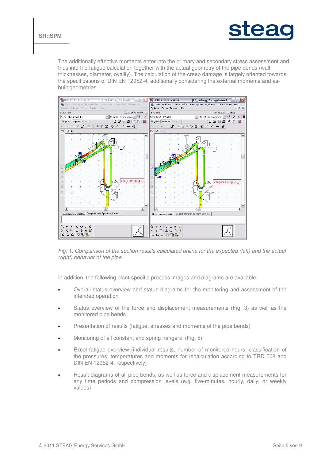

The additionally effective moments enter into the primary and secondary stress assessment and thus into the fatigue calculation together with the actual geometry of the pipe bends (wall thicknesses, diameter, ovality). The calculation of the creep damage is largely oriented towards the specifications of DIN EN 12952-4, additionally considering the external moments and asbuilt geometries.



Fig. 1: Comparison of the section results calculated online for the expected (left) and the actual (right) behavior of the pipe

In addition, the following plant-specific process images and diagrams are available:

- Overall status overview and status diagrams for the monitoring and assessment of the intended operation
- Status overview of the force and displacement measurements (Fig. 3) as well as the monitored pipe bends
- Presentation of results (fatigue, stresses and moments of the pipe bends)
- Monitoring of all constant and spring hangers (Fig. 5)
- Excel fatigue overview (individual results, number of monitored hours, classification of the pressures, temperatures and moments for recalculation according to TRD 508 and DIN EN 12952-4, respectively)
- Result diagrams of all pipe bends, as well as force and displacement measurements for any time periods and compression levels (e.g. five-minutes, hourly, daily, or weekly values)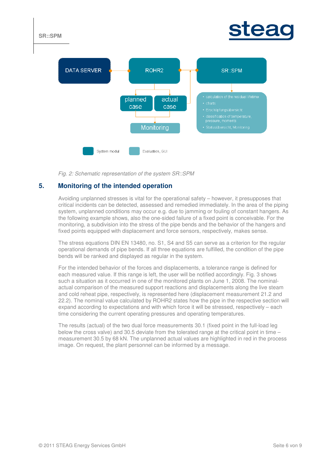



Fig. 2: Schematic representation of the system SR::SPM

# **5. Monitoring of the intended operation**

Avoiding unplanned stresses is vital for the operational safety – however, it presupposes that critical incidents can be detected, assessed and remedied immediately. In the area of the piping system, unplanned conditions may occur e.g. due to jamming or fouling of constant hangers. As the following example shows, also the one-sided failure of a fixed point is conceivable. For the monitoring, a subdivision into the stress of the pipe bends and the behavior of the hangers and fixed points equipped with displacement and force sensors, respectively, makes sense.

The stress equations DIN EN 13480, no. S1, S4 and S5 can serve as a criterion for the regular operational demands of pipe bends. If all three equations are fulfilled, the condition of the pipe bends will be ranked and displayed as regular in the system.

For the intended behavior of the forces and displacements, a tolerance range is defined for each measured value. If this range is left, the user will be notified accordingly. Fig. 3 shows such a situation as it occurred in one of the monitored plants on June 1, 2008. The nominalactual comparison of the measured support reactions and displacements along the live steam and cold reheat pipe, respectively, is represented here (displacement measurement 21.2 and 22.2). The nominal value calculated by ROHR2 states how the pipe in the respective section will expand according to expectations and with which force it will be stressed, respectively – each time considering the current operating pressures and operating temperatures.

The results (actual) of the two dual force measurements 30.1 (fixed point in the full-load leg below the cross valve) and 30.5 deviate from the tolerated range at the critical point in time – measurement 30.5 by 68 kN. The unplanned actual values are highlighted in red in the process image. On request, the plant personnel can be informed by a message.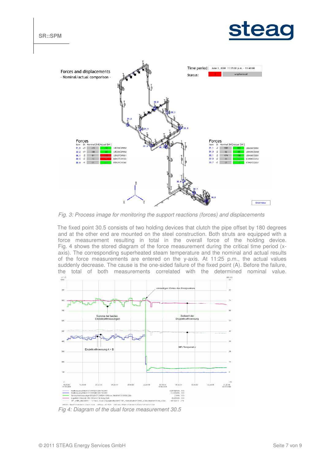



Fig. 3: Process image for monitoring the support reactions (forces) and displacements

The fixed point 30.5 consists of two holding devices that clutch the pipe offset by 180 degrees and at the other end are mounted on the steel construction. Both struts are equipped with a force measurement resulting in total in the overall force of the holding device. Fig. 4 shows the stored diagram of the force measurement during the critical time period (xaxis). The corresponding superheated steam temperature and the nominal and actual results of the force measurements are entered on the y-axis. At 11:25 p.m., the actual values suddenly decrease. The cause is the one-sided failure of the fixed point (A). Before the failure, the total of both measurements correlated with the determined nominal value.  $kN$  (Y2)



Fig 4: Diagram of the dual force measurement 30.5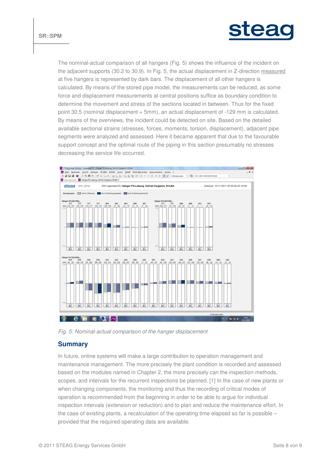



The nominal-actual comparison of all hangers (Fig. 5) shows the influence of the incident on the adjacent supports (30.2 to 30.9). In Fig. 5, the actual displacement in Z-direction measured at five hangers is represented by dark bars. The displacement of all other hangers is calculated. By means of the stored pipe model, the measurements can be reduced, as some force and displacement measurements at central positions suffice as boundary condition to determine the movement and stress of the sections located in between. Thus for the fixed point 30.5 (nominal displacement = 5mm), an actual displacement of -129 mm is calculated. By means of the overviews, the incident could be detected on site. Based on the detailed available sectional strains (stresses, forces, moments, torsion, displacement), adjacent pipe segments were analyzed and assessed. Here it became apparent that due to the favourable support concept and the optimal route of the piping in this section presumably no stresses decreasing the service life occurred.



Fig. 5: Nominal-actual comparison of the hanger displacement

## **Summary**

In future, online systems will make a large contribution to operation management and maintenance management. The more precisely the plant condition is recorded and assessed based on the modules named in Chapter 2, the more precisely can the inspection methods, scopes, and intervals for the recurrent inspections be planned. [1] In the case of new plants or when changing components, the monitoring and thus the recording of critical modes of operation is recommended from the beginning in order to be able to argue for individual inspection intervals (extension or reduction) and to plan and reduce the maintenance effort. In the case of existing plants, a recalculation of the operating time elapsed so far is possible – provided that the required operating data are available.